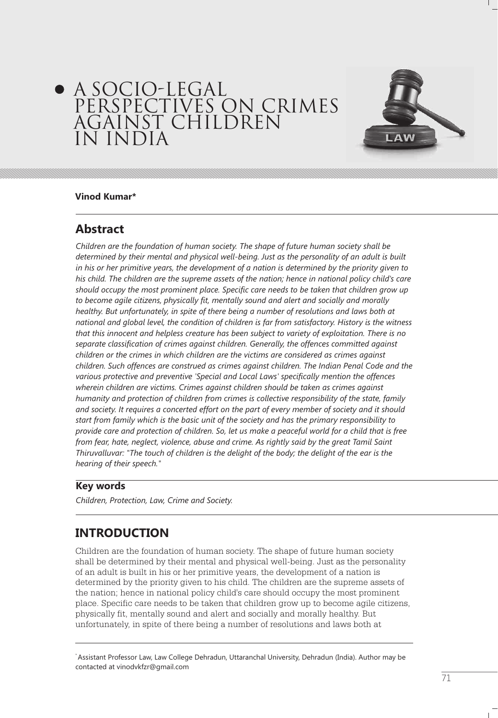# A SOCIO-LEGAL PERSPECTIVES ON CRIMES AGAINST CHILDREN IN INDIA



### **Vinod Kumar\***

# **Abstract**

*Children are the foundation of human society. The shape of future human society shall be determined by their mental and physical well-being. Just as the personality of an adult is built in his or her primitive years, the development of a nation is determined by the priority given to his child. The children are the supreme assets of the nation; hence in national policy child's care should occupy the most prominent place. Specific care needs to be taken that children grow up to become agile citizens, physically fit, mentally sound and alert and socially and morally healthy. But unfortunately, in spite of there being a number of resolutions and laws both at national and global level, the condition of children is far from satisfactory. History is the witness that this innocent and helpless creature has been subject to variety of exploitation. There is no separate classification of crimes against children. Generally, the offences committed against children or the crimes in which children are the victims are considered as crimes against children. Such offences are construed as crimes against children. The Indian Penal Code and the various protective and preventive 'Special and Local Laws' specifically mention the offences wherein children are victims. Crimes against children should be taken as crimes against humanity and protection of children from crimes is collective responsibility of the state, family and society. It requires a concerted effort on the part of every member of society and it should start from family which is the basic unit of the society and has the primary responsibility to provide care and protection of children. So, let us make a peaceful world for a child that is free from fear, hate, neglect, violence, abuse and crime. As rightly said by the great Tamil Saint Thiruvalluvar: "The touch of children is the delight of the body; the delight of the ear is the hearing of their speech."*

# **Key words**

*Children, Protection, Law, Crime and Society.*

# **INTRODUCTION**

Children are the foundation of human society. The shape of future human society shall be determined by their mental and physical well-being. Just as the personality of an adult is built in his or her primitive years, the development of a nation is determined by the priority given to his child. The children are the supreme assets of the nation; hence in national policy child's care should occupy the most prominent place. Specific care needs to be taken that children grow up to become agile citizens, physically fit, mentally sound and alert and socially and morally healthy. But unfortunately, in spite of there being a number of resolutions and laws both at

\* Assistant Professor Law, Law College Dehradun, Uttaranchal University, Dehradun (India). Author may be contacted at vinodvkfzr@gmail.com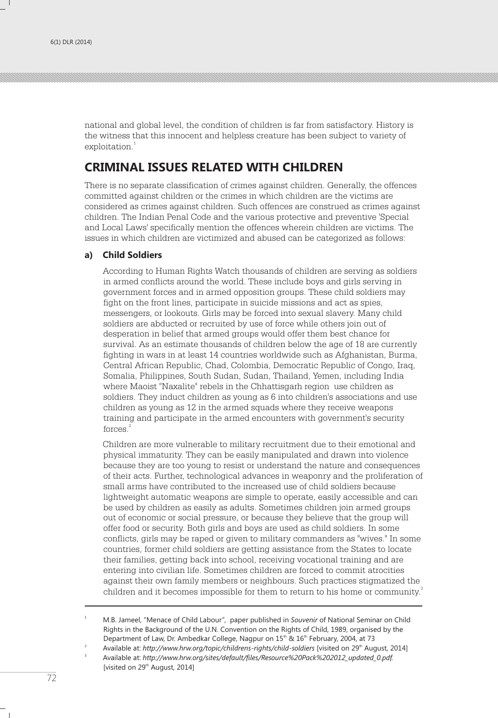national and global level, the condition of children is far from satisfactory. History is the witness that this innocent and helpless creature has been subject to variety of exploitation.<sup>1</sup>

# **CRIMINAL ISSUES RELATED WITH CHILDREN**

There is no separate classification of crimes against children. Generally, the offences committed against children or the crimes in which children are the victims are considered as crimes against children. Such offences are construed as crimes against children. The Indian Penal Code and the various protective and preventive 'Special and Local Laws' specifically mention the offences wherein children are victims. The issues in which children are victimized and abused can be categorized as follows:

# **a) Child Soldiers**

According to Human Rights Watch thousands of children are serving as soldiers in armed conflicts around the world. These include boys and girls serving in government forces and in armed opposition groups. These child soldiers may fight on the front lines, participate in suicide missions and act as spies, messengers, or lookouts. Girls may be forced into sexual slavery. Many child soldiers are abducted or recruited by use of force while others join out of desperation in belief that armed groups would offer them best chance for survival. As an estimate thousands of children below the age of 18 are currently fighting in wars in at least 14 countries worldwide such as Afghanistan, Burma, Central African Republic, Chad, Colombia, Democratic Republic of Congo, Iraq, Somalia, Philippines, South Sudan, Sudan, Thailand, Yemen, including India where Maoist "Naxalite" rebels in the Chhattisgarh region use children as soldiers. They induct children as young as 6 into children's associations and use children as young as 12 in the armed squads where they receive weapons training and participate in the armed encounters with government's security forces.<sup>2</sup>

Children are more vulnerable to military recruitment due to their emotional and physical immaturity. They can be easily manipulated and drawn into violence because they are too young to resist or understand the nature and consequences of their acts. Further, technological advances in weaponry and the proliferation of small arms have contributed to the increased use of child soldiers because lightweight automatic weapons are simple to operate, easily accessible and can be used by children as easily as adults. Sometimes children join armed groups out of economic or social pressure, or because they believe that the group will offer food or security. Both girls and boys are used as child soldiers. In some conflicts, girls may be raped or given to military commanders as "wives." In some countries, former child soldiers are getting assistance from the States to locate their families, getting back into school, receiving vocational training and are entering into civilian life. Sometimes children are forced to commit atrocities against their own family members or neighbours. Such practices stigmatized the children and it becomes impossible for them to return to his home or community.<sup>3</sup>

3

<sup>1</sup> M.B. Jameel, "Menace of Child Labour", paper published in *Souvenir* of National Seminar on Child Rights in the Background of the U.N. Convention on the Rights of Child, 1989, organised by the Department of Law, Dr. Ambedkar College, Nagpur on 15<sup>th</sup> & 16<sup>th</sup> February, 2004, at 73

Available at: http://www.hrw.org/topic/childrens-rights/child-soldiers [visited on 29<sup>th</sup> August, 2014]

Available at: *http://www.hrw.org/sites/default/files/Resource%20Pack%202012\_updated\_0.pdf.* [visited on 29<sup>th</sup> August, 2014]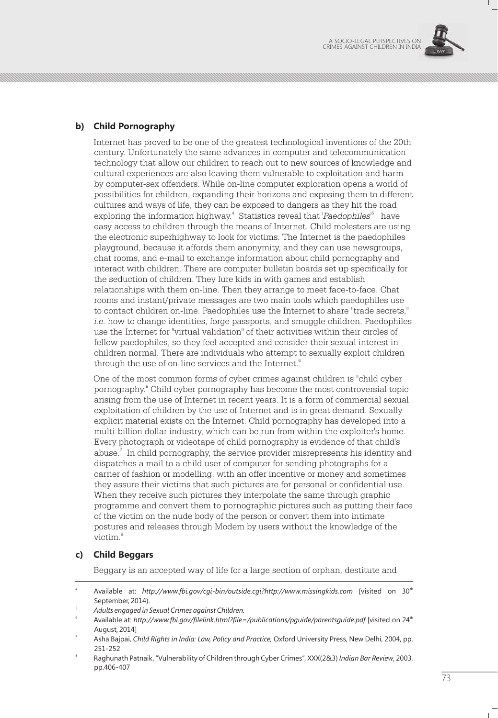

# **b) Child Pornography**

Internet has proved to be one of the greatest technological inventions of the 20th century. Unfortunately the same advances in computer and telecommunication technology that allow our children to reach out to new sources of knowledge and cultural experiences are also leaving them vulnerable to exploitation and harm by computer-sex offenders. While on-line computer exploration opens a world of possibilities for children, expanding their horizons and exposing them to different cultures and ways of life, they can be exposed to dangers as they hit the road exploring the information highway.<sup>4</sup> Statistics reveal that *'Paedophiles'*<sup>5</sup> have easy access to children through the means of Internet. Child molesters are using the electronic superhighway to look for victims. The Internet is the paedophiles playground, because it affords them anonymity, and they can use newsgroups, chat rooms, and e-mail to exchange information about child pornography and interact with children. There are computer bulletin boards set up specifically for the seduction of children. They lure kids in with games and establish relationships with them on-line. Then they arrange to meet face-to-face. Chat rooms and instant/private messages are two main tools which paedophiles use to contact children on-line. Paedophiles use the Internet to share "trade secrets," *i.e.* how to change identities, forge passports, and smuggle children. Paedophiles use the Internet for "virtual validation" of their activities within their circles of fellow paedophiles, so they feel accepted and consider their sexual interest in children normal. There are individuals who attempt to sexually exploit children through the use of on-line services and the Internet.<sup>6</sup>

One of the most common forms of cyber crimes against children is "child cyber pornography." Child cyber pornography has become the most controversial topic arising from the use of Internet in recent years. It is a form of commercial sexual exploitation of children by the use of Internet and is in great demand. Sexually explicit material exists on the Internet. Child pornography has developed into a multi-billion dollar industry, which can be run from within the exploiter's home. Every photograph or videotape of child pornography is evidence of that child's abuse.<sup>7</sup> In child pornography, the service provider misrepresents his identity and dispatches a mail to a child user of computer for sending photographs for a carrier of fashion or modelling, with an offer incentive or money and sometimes they assure their victims that such pictures are for personal or confidential use. When they receive such pictures they interpolate the same through graphic programme and convert them to pornographic pictures such as putting their face of the victim on the nude body of the person or convert them into intimate postures and releases through Modem by users without the knowledge of the victim.<sup>8</sup>

### **c) Child Beggars**

Beggary is an accepted way of life for a large section of orphan, destitute and

<sup>4</sup> th Available at: *http://www.fbi.gov/cgi-bin/outside.cgi?http://www.missingkids.com* [visited on 30 September, 2014).

<sup>5</sup> *Adults engaged in Sexual Crimes against Children.*

<sup>6</sup> th Available at: *http://www.fbi.gov/filelink.html?file=/publications/pguide/parentsguide.pdf* [visited on 24 August, 2014]

Asha Bajpai, *Child Rights in India: Law, Policy and Practice,* Oxford University Press, New Delhi, 2004, pp. 251-252

<sup>8</sup> Raghunath Patnaik, "Vulnerability of Children through Cyber Crimes", XXX(2&3) *Indian Bar Review*, 2003, pp.406-407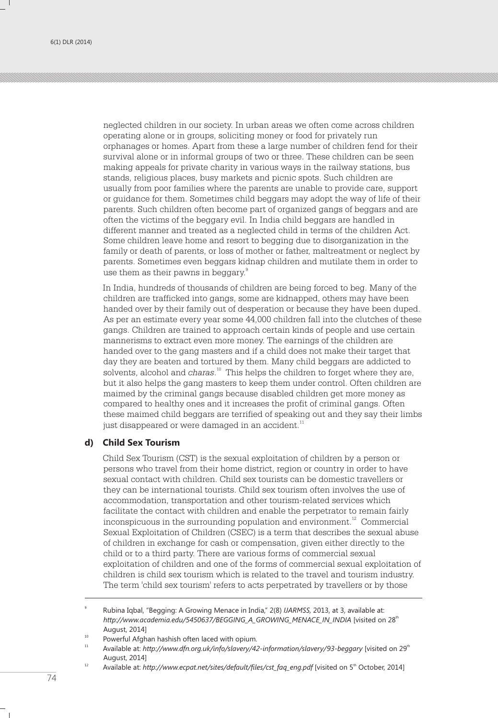neglected children in our society. In urban areas we often come across children operating alone or in groups, soliciting money or food for privately run orphanages or homes. Apart from these a large number of children fend for their survival alone or in informal groups of two or three. These children can be seen making appeals for private charity in various ways in the railway stations, bus stands, religious places, busy markets and picnic spots. Such children are usually from poor families where the parents are unable to provide care, support or guidance for them. Sometimes child beggars may adopt the way of life of their parents. Such children often become part of organized gangs of beggars and are often the victims of the beggary evil. In India child beggars are handled in different manner and treated as a neglected child in terms of the children Act. Some children leave home and resort to begging due to disorganization in the family or death of parents, or loss of mother or father, maltreatment or neglect by parents. Sometimes even beggars kidnap children and mutilate them in order to use them as their pawns in beggary.<sup>9</sup>

In India, hundreds of thousands of children are being forced to beg. Many of the children are trafficked into gangs, some are kidnapped, others may have been handed over by their family out of desperation or because they have been duped. As per an estimate every year some 44,000 children fall into the clutches of these gangs. Children are trained to approach certain kinds of people and use certain mannerisms to extract even more money. The earnings of the children are handed over to the gang masters and if a child does not make their target that day they are beaten and tortured by them. Many child beggars are addicted to solvents, alcohol and *charas*.<sup>10</sup> This helps the children to forget where they are, but it also helps the gang masters to keep them under control. Often children are maimed by the criminal gangs because disabled children get more money as compared to healthy ones and it increases the profit of criminal gangs. Often these maimed child beggars are terrified of speaking out and they say their limbs just disappeared or were damaged in an accident.<sup>11</sup>

#### **d) Child Sex Tourism**

Child Sex Tourism (CST) is the sexual exploitation of children by a person or persons who travel from their home district, region or country in order to have sexual contact with children. Child sex tourists can be domestic travellers or they can be international tourists. Child sex tourism often involves the use of accommodation, transportation and other tourism-related services which facilitate the contact with children and enable the perpetrator to remain fairly  $12$  inconspicuous in the surrounding population and environment.<sup>12</sup> Commercial Sexual Exploitation of Children (CSEC) is a term that describes the sexual abuse of children in exchange for cash or compensation, given either directly to the child or to a third party. There are various forms of commercial sexual exploitation of children and one of the forms of commercial sexual exploitation of children is child sex tourism which is related to the travel and tourism industry. The term 'child sex tourism' refers to acts perpetrated by travellers or by those

<sup>9</sup> Rubina Iqbal, "Begging: A Growing Menace in India," 2(8) *IJARMSS,* 2013, at 3, available at: http://www.academia.edu/5450637/BEGGING\_A\_GROWING\_MENACE\_IN\_INDIA [visited on 28<sup>th</sup> August, 2014]

<sup>&</sup>lt;sup>10</sup> Powerful Afghan hashish often laced with opium.

<sup>11</sup> th Available at: *http://www.dfn.org.uk/info/slavery/42-information/slavery/93-beggary* [visited on 29 August, 2014]

<sup>&</sup>lt;sup>12</sup> Available at: *http://www.ecpat.net/sites/default/files/cst\_faq\_eng.pdf* [visited on 5<sup>th</sup> October, 2014]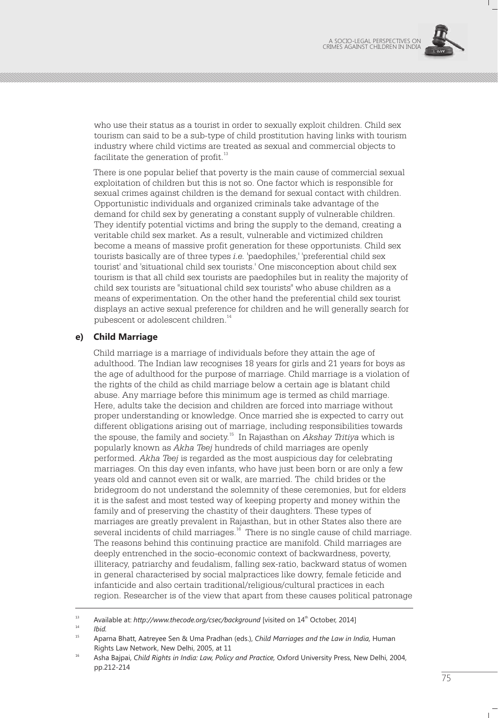

who use their status as a tourist in order to sexually exploit children. Child sex tourism can said to be a sub-type of child prostitution having links with tourism industry where child victims are treated as sexual and commercial objects to facilitate the generation of profit.<sup>13</sup>

There is one popular belief that poverty is the main cause of commercial sexual exploitation of children but this is not so. One factor which is responsible for sexual crimes against children is the demand for sexual contact with children. Opportunistic individuals and organized criminals take advantage of the demand for child sex by generating a constant supply of vulnerable children. They identify potential victims and bring the supply to the demand, creating a veritable child sex market. As a result, vulnerable and victimized children become a means of massive profit generation for these opportunists. Child sex tourists basically are of three types *i.e.* 'paedophiles,' 'preferential child sex tourist' and 'situational child sex tourists.' One misconception about child sex tourism is that all child sex tourists are paedophiles but in reality the majority of child sex tourists are "situational child sex tourists" who abuse children as a means of experimentation. On the other hand the preferential child sex tourist displays an active sexual preference for children and he will generally search for pubescent or adolescent children.<sup>14</sup>

### **e) Child Marriage**

Child marriage is a marriage of individuals before they attain the age of adulthood. The Indian law recognises 18 years for girls and 21 years for boys as the age of adulthood for the purpose of marriage. Child marriage is a violation of the rights of the child as child marriage below a certain age is blatant child abuse. Any marriage before this minimum age is termed as child marriage. Here, adults take the decision and children are forced into marriage without proper understanding or knowledge. Once married she is expected to carry out different obligations arising out of marriage, including responsibilities towards <sup>15</sup> the spouse, the family and society. In Rajasthan on *Akshay Tritiya* which is popularly known as *Akha Teej* hundreds of child marriages are openly performed. *Akha Teej* is regarded as the most auspicious day for celebrating marriages. On this day even infants, who have just been born or are only a few years old and cannot even sit or walk, are married. The child brides or the bridegroom do not understand the solemnity of these ceremonies, but for elders it is the safest and most tested way of keeping property and money within the family and of preserving the chastity of their daughters. These types of marriages are greatly prevalent in Rajasthan, but in other States also there are several incidents of child marriages. <sup> $16$ </sup> There is no single cause of child marriage. The reasons behind this continuing practice are manifold. Child marriages are deeply entrenched in the socio-economic context of backwardness, poverty, illiteracy, patriarchy and feudalism, falling sex-ratio, backward status of women in general characterised by social malpractices like dowry, female feticide and infanticide and also certain traditional/religious/cultural practices in each region. Researcher is of the view that apart from these causes political patronage

<sup>&</sup>lt;sup>13</sup> Available at: *http://www.thecode.org/csec/background* [visited on 14<sup>th</sup> October, 2014]

<sup>14</sup> *Ibid.*

<sup>15</sup> Aparna Bhatt, Aatreyee Sen & Uma Pradhan (eds.), *Child Marriages and the Law in India,* Human Rights Law Network, New Delhi, 2005, at 11

<sup>&</sup>lt;sup>16</sup> Asha Bajpai, *Child Rights in India: Law, Policy and Practice, Oxford University Press, New Delhi, 2004,* pp.212-214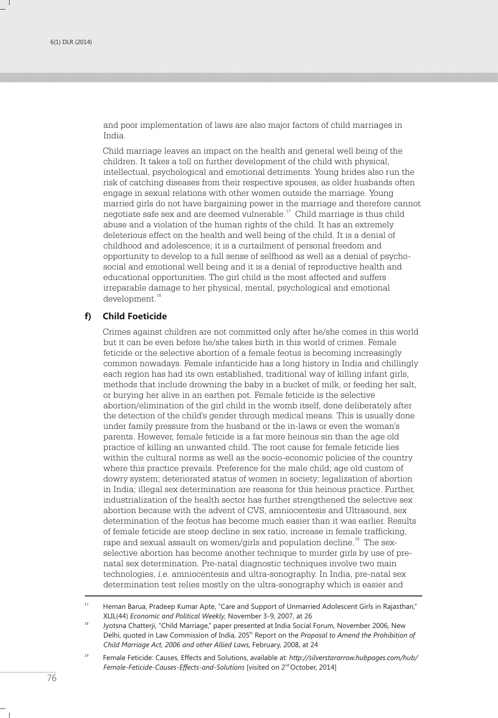and poor implementation of laws are also major factors of child marriages in India.

Child marriage leaves an impact on the health and general well being of the children. It takes a toll on further development of the child with physical, intellectual, psychological and emotional detriments. Young brides also run the risk of catching diseases from their respective spouses, as older husbands often engage in sexual relations with other women outside the marriage. Young married girls do not have bargaining power in the marriage and therefore cannot negotiate safe sex and are deemed vulnerable. $17$  Child marriage is thus child abuse and a violation of the human rights of the child. It has an extremely deleterious effect on the health and well being of the child. It is a denial of childhood and adolescence; it is a curtailment of personal freedom and opportunity to develop to a full sense of selfhood as well as a denial of psychosocial and emotional well being and it is a denial of reproductive health and educational opportunities. The girl child is the most affected and suffers irreparable damage to her physical, mental, psychological and emotional development.<sup>18</sup>

#### **f) Child Foeticide**

Crimes against children are not committed only after he/she comes in this world but it can be even before he/she takes birth in this world of crimes. Female feticide or the selective abortion of a female feotus is becoming increasingly common nowadays. Female infanticide has a long history in India and chillingly each region has had its own established, traditional way of killing infant girls, methods that include drowning the baby in a bucket of milk, or feeding her salt, or burying her alive in an earthen pot. Female feticide is the selective abortion/elimination of the girl child in the womb itself, done deliberately after the detection of the child's gender through medical means. This is usually done under family pressure from the husband or the in-laws or even the woman's parents. However, female feticide is a far more heinous sin than the age old practice of killing an unwanted child. The root cause for female feticide lies within the cultural norms as well as the socio-economic policies of the country where this practice prevails. Preference for the male child; age old custom of dowry system; deteriorated status of women in society; legalization of abortion in India; illegal sex determination are reasons for this heinous practice. Further, industrialization of the health sector has further strengthened the selective sex abortion because with the advent of CVS, amniocentesis and Ultrasound, sex determination of the feotus has become much easier than it was earlier. Results of female feticide are steep decline in sex ratio, increase in female trafficking, rape and sexual assault on women/girls and population decline.<sup>19</sup> The sexselective abortion has become another technique to murder girls by use of prenatal sex determination. Pre-natal diagnostic techniques involve two main technologies, *i.e.* amniocentesis and ultra-sonography. In India, pre-natal sex determination test relies mostly on the ultra-sonography which is easier and

<sup>&</sup>lt;sup>17</sup> Heman Barua, Pradeep Kumar Apte, "Care and Support of Unmarried Adolescent Girls in Rajasthan," XLIL(44) *Economic and Political Weekly*, November 3-9, 2007, at 26

<sup>&</sup>lt;sup>18</sup> Jyotsna Chatterji, "Child Marriage," paper presented at India Social Forum, November 2006, New Delhi, quoted in Law Commission of India, 205<sup>th</sup> Report on the *Proposal to Amend the Prohibition of Child Marriage Act, 2006 and other Allied Laws,* February, 2008, at 24

<sup>19</sup> Female Feticide: Causes, Effects and Solutions, available at: *http://silverstararrow.hubpages.com/hub/*  Female-Feticide-Causes-Effects-and-Solutions [visited on 2<sup>nd</sup> October, 2014]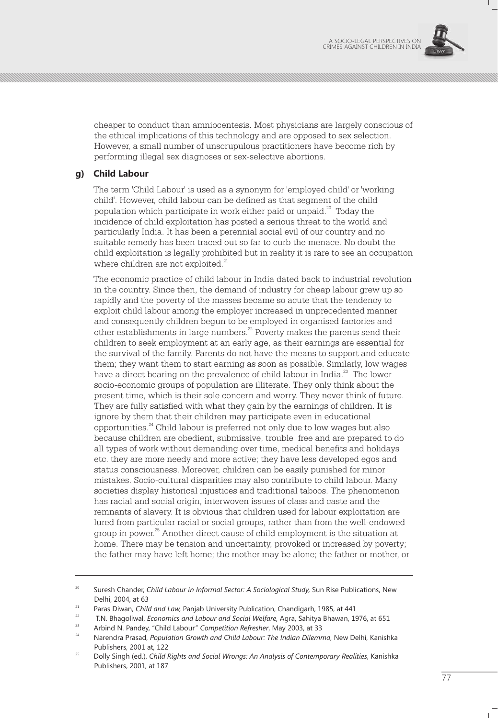

cheaper to conduct than amniocentesis. Most physicians are largely conscious of the ethical implications of this technology and are opposed to sex selection. However, a small number of unscrupulous practitioners have become rich by performing illegal sex diagnoses or sex-selective abortions.

## **g) Child Labour**

The term 'Child Labour' is used as a synonym for 'employed child' or 'working child'. However, child labour can be defined as that segment of the child population which participate in work either paid or unpaid. $20$  Today the incidence of child exploitation has posted a serious threat to the world and particularly India. It has been a perennial social evil of our country and no suitable remedy has been traced out so far to curb the menace. No doubt the child exploitation is legally prohibited but in reality it is rare to see an occupation where children are not exploited.<sup>21</sup>

The economic practice of child labour in India dated back to industrial revolution in the country. Since then, the demand of industry for cheap labour grew up so rapidly and the poverty of the masses became so acute that the tendency to exploit child labour among the employer increased in unprecedented manner and consequently children begun to be employed in organised factories and other establishments in large numbers. $^{22}$  Poverty makes the parents send their children to seek employment at an early age, as their earnings are essential for the survival of the family. Parents do not have the means to support and educate them; they want them to start earning as soon as possible. Similarly, low wages have a direct bearing on the prevalence of child labour in India.<sup>23</sup> The lower socio-economic groups of population are illiterate. They only think about the present time, which is their sole concern and worry. They never think of future. They are fully satisfied with what they gain by the earnings of children. It is ignore by them that their children may participate even in educational opportunities.<sup>24</sup> Child labour is preferred not only due to low wages but also because children are obedient, submissive, trouble free and are prepared to do all types of work without demanding over time, medical benefits and holidays etc. they are more needy and more active; they have less developed egos and status consciousness. Moreover, children can be easily punished for minor mistakes. Socio-cultural disparities may also contribute to child labour. Many societies display historical injustices and traditional taboos. The phenomenon has racial and social origin, interwoven issues of class and caste and the remnants of slavery. It is obvious that children used for labour exploitation are lured from particular racial or social groups, rather than from the well-endowed group in power.<sup>25</sup> Another direct cause of child employment is the situation at home. There may be tension and uncertainty, provoked or increased by poverty; the father may have left home; the mother may be alone; the father or mother, or

<sup>&</sup>lt;sup>20</sup> Suresh Chander, *Child Labour in Informal Sector: A Sociological Study*, Sun Rise Publications, New Delhi, 2004, at 63

<sup>21</sup> Paras Diwan, *Child and Law,* Panjab University Publication, Chandigarh, 1985, at 441

<sup>22</sup> T.N. Bhagoliwal, *Economics and Labour and Social Welfare,* Agra, Sahitya Bhawan, 1976, at 651

<sup>23</sup> Arbind N. Pandey, "Child Labour" *Competition Refresher*, May 2003, at 33

<sup>24</sup> Narendra Prasad, *Population Growth and Child Labour: The Indian Dilemma*, New Delhi, Kanishka Publishers, 2001 at, 122

<sup>25</sup> Dolly Singh (ed.), *Child Rights and Social Wrongs: An Analysis of Contemporary Realities*, Kanishka Publishers, 2001, at 187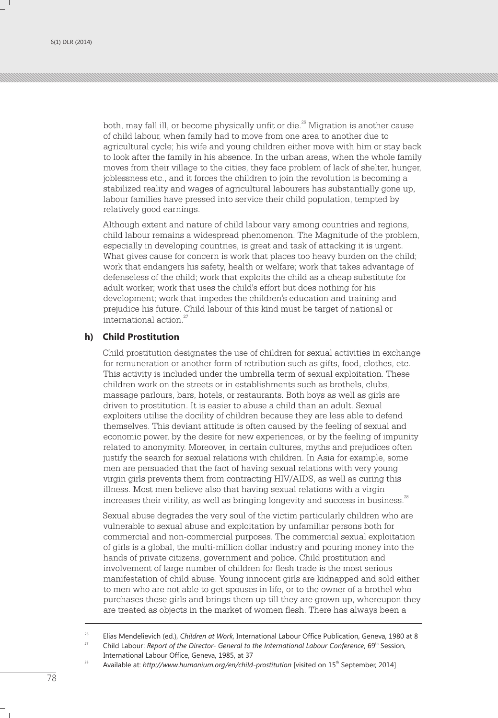both, may fall ill, or become physically unfit or die. $^{26}$  Migration is another cause of child labour, when family had to move from one area to another due to agricultural cycle; his wife and young children either move with him or stay back to look after the family in his absence. In the urban areas, when the whole family moves from their village to the cities, they face problem of lack of shelter, hunger, joblessness etc., and it forces the children to join the revolution is becoming a stabilized reality and wages of agricultural labourers has substantially gone up, labour families have pressed into service their child population, tempted by relatively good earnings.

Although extent and nature of child labour vary among countries and regions, child labour remains a widespread phenomenon. The Magnitude of the problem, especially in developing countries, is great and task of attacking it is urgent. What gives cause for concern is work that places too heavy burden on the child; work that endangers his safety, health or welfare; work that takes advantage of defenseless of the child; work that exploits the child as a cheap substitute for adult worker; work that uses the child's effort but does nothing for his development; work that impedes the children's education and training and prejudice his future. Child labour of this kind must be target of national or international action.<sup>27</sup>

#### **h) Child Prostitution**

Child prostitution designates the use of children for sexual activities in exchange for remuneration or another form of retribution such as gifts, food, clothes, etc. This activity is included under the umbrella term of sexual exploitation. These children work on the streets or in establishments such as brothels, clubs, massage parlours, bars, hotels, or restaurants. Both boys as well as girls are driven to prostitution. It is easier to abuse a child than an adult. Sexual exploiters utilise the docility of children because they are less able to defend themselves. This deviant attitude is often caused by the feeling of sexual and economic power, by the desire for new experiences, or by the feeling of impunity related to anonymity. Moreover, in certain cultures, myths and prejudices often justify the search for sexual relations with children. In Asia for example, some men are persuaded that the fact of having sexual relations with very young virgin girls prevents them from contracting HIV/AIDS, as well as curing this illness. Most men believe also that having sexual relations with a virgin increases their virility, as well as bringing longevity and success in business.<sup>28</sup>

Sexual abuse degrades the very soul of the victim particularly children who are vulnerable to sexual abuse and exploitation by unfamiliar persons both for commercial and non-commercial purposes. The commercial sexual exploitation of girls is a global, the multi-million dollar industry and pouring money into the hands of private citizens, government and police. Child prostitution and involvement of large number of children for flesh trade is the most serious manifestation of child abuse. Young innocent girls are kidnapped and sold either to men who are not able to get spouses in life, or to the owner of a brothel who purchases these girls and brings them up till they are grown up, whereupon they are treated as objects in the market of women flesh. There has always been a

<sup>&</sup>lt;sup>26</sup> Elias Mendelievich (ed.), *Children at Work*, International Labour Office Publication, Geneva, 1980 at 8<br><sup>27</sup> Child Labour Breast of the Director Concret to the International Labour Conference Ch<sup>ip</sup> Geology

Child Labour: Report of the Director- General to the International Labour Conference, 69<sup>th</sup> Session, International Labour Office, Geneva, 1985, at 37

<sup>&</sup>lt;sup>28</sup> Available at: *http://www.humanium.org/en/child-prostitution* [visited on 15<sup>th</sup> September, 2014]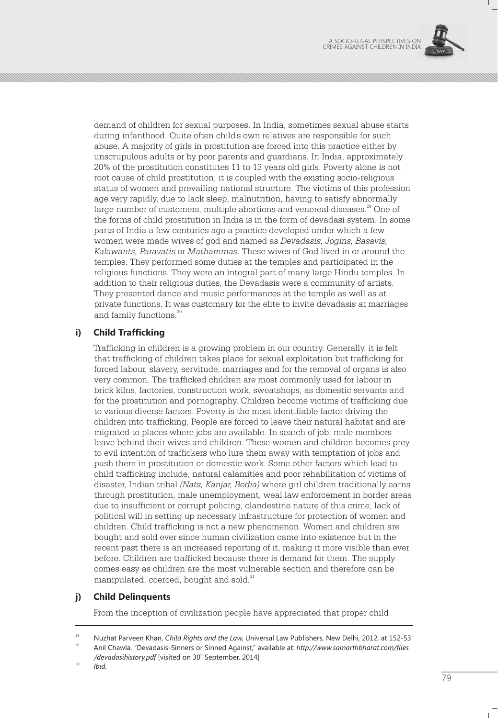

demand of children for sexual purposes. In India, sometimes sexual abuse starts during infanthood. Quite often child's own relatives are responsible for such abuse. A majority of girls in prostitution are forced into this practice either by unscrupulous adults or by poor parents and guardians. In India, approximately 20% of the prostitution constitutes 11 to 13 years old girls. Poverty alone is not root cause of child prostitution; it is coupled with the existing socio-religious status of women and prevailing national structure. The victims of this profession age very rapidly, due to lack sleep, malnutrition, having to satisfy abnormally large number of customers, multiple abortions and venereal diseases.<sup>29</sup> One of the forms of child prostitution in India is in the form of devadasi system. In some parts of India a few centuries ago a practice developed under which a few women were made wives of god and named as *Devadasis, Jogins, Basavis, Kalawants, Paravatis* or *Mathammas.* These wives of God lived in or around the temples. They performed some duties at the temples and participated in the religious functions. They were an integral part of many large Hindu temples. In addition to their religious duties, the Devadasis were a community of artists. They presented dance and music performances at the temple as well as at private functions. It was customary for the elite to invite devadasis at marriages and family functions.<sup>30</sup>

# **i) Child Trafficking**

Trafficking in children is a growing problem in our country. Generally, it is felt that trafficking of children takes place for sexual exploitation but trafficking for forced labour, slavery, servitude, marriages and for the removal of organs is also very common. The trafficked children are most commonly used for labour in brick kilns, factories, construction work, sweatshops, as domestic servants and for the prostitution and pornography. Children become victims of trafficking due to various diverse factors. Poverty is the most identifiable factor driving the children into trafficking. People are forced to leave their natural habitat and are migrated to places where jobs are available. In search of job, male members leave behind their wives and children. These women and children becomes prey to evil intention of traffickers who lure them away with temptation of jobs and push them in prostitution or domestic work. Some other factors which lead to child trafficking include, natural calamities and poor rehabilitation of victims of disaster, Indian tribal *(Nats, Kanjar, Bedia)* where girl children traditionally earns through prostitution, male unemployment, weal law enforcement in border areas due to insufficient or corrupt policing, clandestine nature of this crime, lack of political will in setting up necessary infrastructure for protection of women and children. Child trafficking is not a new phenomenon. Women and children are bought and sold ever since human civilization came into existence but in the recent past there is an increased reporting of it, making it more visible than ever before. Children are trafficked because there is demand for them. The supply comes easy as children are the most vulnerable section and therefore can be manipulated, coerced, bought and sold.<sup>31</sup>

### **j) Child Delinquents**

From the inception of civilization people have appreciated that proper child

<sup>29</sup> Nuzhat Parveen Khan, *Child Rights and the Law,* Universal Law Publishers, New Delhi, 2012, at 152-53

<sup>30</sup> Anil Chawla, "Devadasis-Sinners or Sinned Against," available at: *http://www.samarthbharat.com/files*  /devadasihistory.pdf [visited on 30<sup>th</sup> September, 2014]

 $31$  *Ibid.*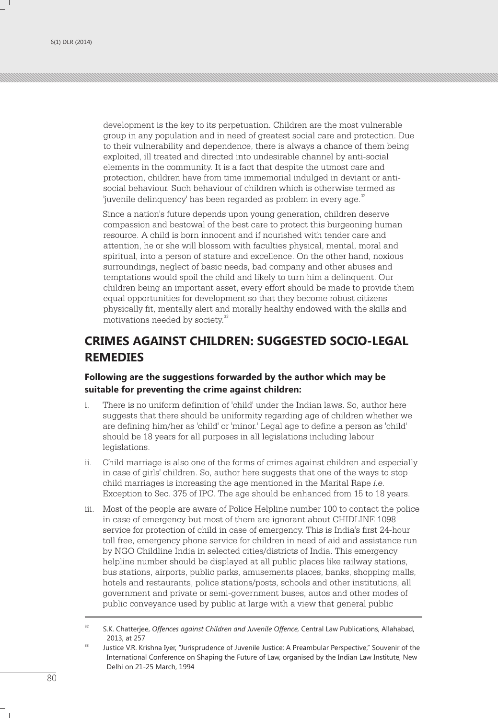development is the key to its perpetuation. Children are the most vulnerable group in any population and in need of greatest social care and protection. Due to their vulnerability and dependence, there is always a chance of them being exploited, ill treated and directed into undesirable channel by anti-social elements in the community. It is a fact that despite the utmost care and protection, children have from time immemorial indulged in deviant or antisocial behaviour. Such behaviour of children which is otherwise termed as 'juvenile delinquency' has been regarded as problem in every age.<sup>32</sup>

Since a nation's future depends upon young generation, children deserve compassion and bestowal of the best care to protect this burgeoning human resource. A child is born innocent and if nourished with tender care and attention, he or she will blossom with faculties physical, mental, moral and spiritual, into a person of stature and excellence. On the other hand, noxious surroundings, neglect of basic needs, bad company and other abuses and temptations would spoil the child and likely to turn him a delinquent. Our children being an important asset, every effort should be made to provide them equal opportunities for development so that they become robust citizens physically fit, mentally alert and morally healthy endowed with the skills and motivations needed by society.<sup>33</sup>

# **CRIMES AGAINST CHILDREN: SUGGESTED SOCIO-LEGAL REMEDIES**

### **Following are the suggestions forwarded by the author which may be suitable for preventing the crime against children:**

- i. There is no uniform definition of 'child' under the Indian laws. So, author here suggests that there should be uniformity regarding age of children whether we are defining him/her as 'child' or 'minor.' Legal age to define a person as 'child' should be 18 years for all purposes in all legislations including labour legislations.
- ii. Child marriage is also one of the forms of crimes against children and especially in case of girls' children. So, author here suggests that one of the ways to stop child marriages is increasing the age mentioned in the Marital Rape *i.e.* Exception to Sec. 375 of IPC. The age should be enhanced from 15 to 18 years.
- iii. Most of the people are aware of Police Helpline number 100 to contact the police in case of emergency but most of them are ignorant about CHIDLINE 1098 service for protection of child in case of emergency. This is India's first 24-hour toll free, emergency phone service for children in need of aid and assistance run by NGO Childline India in selected cities/districts of India. This emergency helpline number should be displayed at all public places like railway stations, bus stations, airports, public parks, amusements places, banks, shopping malls, hotels and restaurants, police stations/posts, schools and other institutions, all government and private or semi-government buses, autos and other modes of public conveyance used by public at large with a view that general public

<sup>32</sup> S.K. Chatterjee, *Offences against Children and Juvenile Offence,* Central Law Publications, Allahabad, 2013, at 257

<sup>&</sup>lt;sup>33</sup> Justice V.R. Krishna Iyer, "Jurisprudence of Juvenile Justice: A Preambular Perspective," Souvenir of the International Conference on Shaping the Future of Law, organised by the Indian Law Institute, New Delhi on 21-25 March, 1994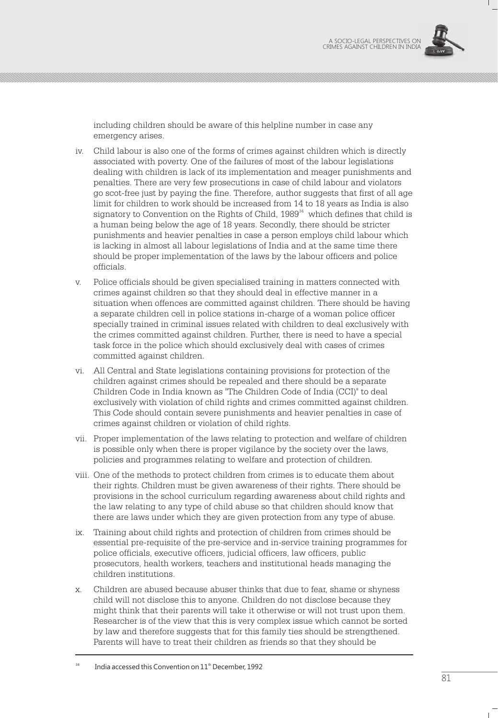

including children should be aware of this helpline number in case any emergency arises.

- iv. Child labour is also one of the forms of crimes against children which is directly associated with poverty. One of the failures of most of the labour legislations dealing with children is lack of its implementation and meager punishments and penalties. There are very few prosecutions in case of child labour and violators go scot-free just by paying the fine. Therefore, author suggests that first of all age limit for children to work should be increased from 14 to 18 years as India is also signatory to Convention on the Rights of Child,  $1989<sup>34</sup>$  which defines that child is a human being below the age of 18 years. Secondly, there should be stricter punishments and heavier penalties in case a person employs child labour which is lacking in almost all labour legislations of India and at the same time there should be proper implementation of the laws by the labour officers and police officials.
- v. Police officials should be given specialised training in matters connected with crimes against children so that they should deal in effective manner in a situation when offences are committed against children. There should be having a separate children cell in police stations in-charge of a woman police officer specially trained in criminal issues related with children to deal exclusively with the crimes committed against children. Further, there is need to have a special task force in the police which should exclusively deal with cases of crimes committed against children.
- vi. All Central and State legislations containing provisions for protection of the children against crimes should be repealed and there should be a separate Children Code in India known as "The Children Code of India (CCI)" to deal exclusively with violation of child rights and crimes committed against children. This Code should contain severe punishments and heavier penalties in case of crimes against children or violation of child rights.
- vii. Proper implementation of the laws relating to protection and welfare of children is possible only when there is proper vigilance by the society over the laws, policies and programmes relating to welfare and protection of children.
- viii. One of the methods to protect children from crimes is to educate them about their rights. Children must be given awareness of their rights. There should be provisions in the school curriculum regarding awareness about child rights and the law relating to any type of child abuse so that children should know that there are laws under which they are given protection from any type of abuse.
- ix. Training about child rights and protection of children from crimes should be essential pre-requisite of the pre-service and in-service training programmes for police officials, executive officers, judicial officers, law officers, public prosecutors, health workers, teachers and institutional heads managing the children institutions.
- x. Children are abused because abuser thinks that due to fear, shame or shyness child will not disclose this to anyone. Children do not disclose because they might think that their parents will take it otherwise or will not trust upon them. Researcher is of the view that this is very complex issue which cannot be sorted by law and therefore suggests that for this family ties should be strengthened. Parents will have to treat their children as friends so that they should be

India accessed this Convention on 11<sup>th</sup> December, 1992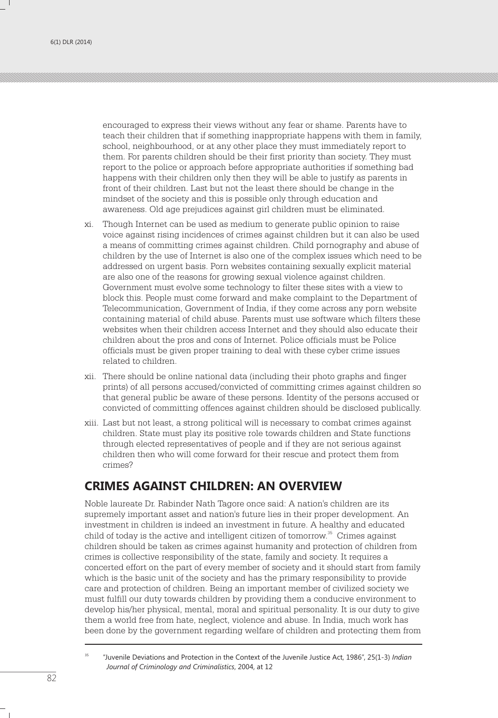encouraged to express their views without any fear or shame. Parents have to teach their children that if something inappropriate happens with them in family, school, neighbourhood, or at any other place they must immediately report to them. For parents children should be their first priority than society. They must report to the police or approach before appropriate authorities if something bad happens with their children only then they will be able to justify as parents in front of their children. Last but not the least there should be change in the mindset of the society and this is possible only through education and awareness. Old age prejudices against girl children must be eliminated.

- xi. Though Internet can be used as medium to generate public opinion to raise voice against rising incidences of crimes against children but it can also be used a means of committing crimes against children. Child pornography and abuse of children by the use of Internet is also one of the complex issues which need to be addressed on urgent basis. Porn websites containing sexually explicit material are also one of the reasons for growing sexual violence against children. Government must evolve some technology to filter these sites with a view to block this. People must come forward and make complaint to the Department of Telecommunication, Government of India, if they come across any porn website containing material of child abuse. Parents must use software which filters these websites when their children access Internet and they should also educate their children about the pros and cons of Internet. Police officials must be Police officials must be given proper training to deal with these cyber crime issues related to children.
- xii. There should be online national data (including their photo graphs and finger prints) of all persons accused/convicted of committing crimes against children so that general public be aware of these persons. Identity of the persons accused or convicted of committing offences against children should be disclosed publically.
- xiii. Last but not least, a strong political will is necessary to combat crimes against children. State must play its positive role towards children and State functions through elected representatives of people and if they are not serious against children then who will come forward for their rescue and protect them from crimes?

# **CRIMES AGAINST CHILDREN: AN OVERVIEW**

Noble laureate Dr. Rabinder Nath Tagore once said: A nation's children are its supremely important asset and nation's future lies in their proper development. An investment in children is indeed an investment in future. A healthy and educated child of today is the active and intelligent citizen of tomorrow.<sup>35</sup> Crimes against children should be taken as crimes against humanity and protection of children from crimes is collective responsibility of the state, family and society. It requires a concerted effort on the part of every member of society and it should start from family which is the basic unit of the society and has the primary responsibility to provide care and protection of children. Being an important member of civilized society we must fulfill our duty towards children by providing them a conducive environment to develop his/her physical, mental, moral and spiritual personality. It is our duty to give them a world free from hate, neglect, violence and abuse. In India, much work has been done by the government regarding welfare of children and protecting them from

<sup>35</sup> "Juvenile Deviations and Protection in the Context of the Juvenile Justice Act, 1986", 25(1-3) *Indian Journal of Criminology and Criminalistics*, 2004, at 12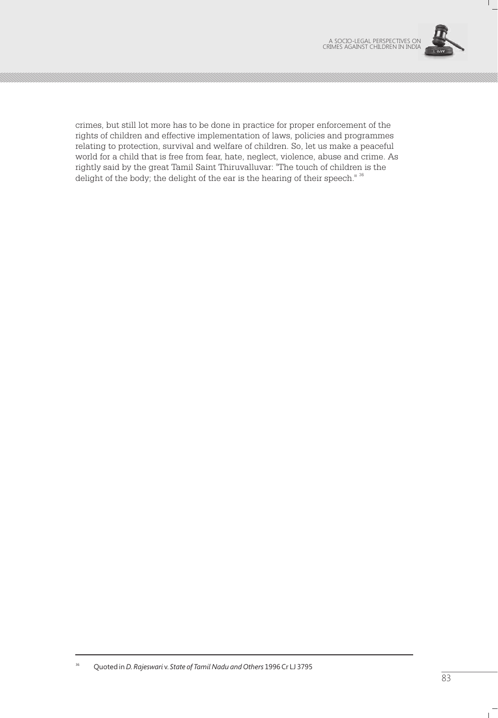

Τ.

crimes, but still lot more has to be done in practice for proper enforcement of the rights of children and effective implementation of laws, policies and programmes relating to protection, survival and welfare of children. So, let us make a peaceful world for a child that is free from fear, hate, neglect, violence, abuse and crime. As rightly said by the great Tamil Saint Thiruvalluvar: "The touch of children is the delight of the body; the delight of the ear is the hearing of their speech." 36